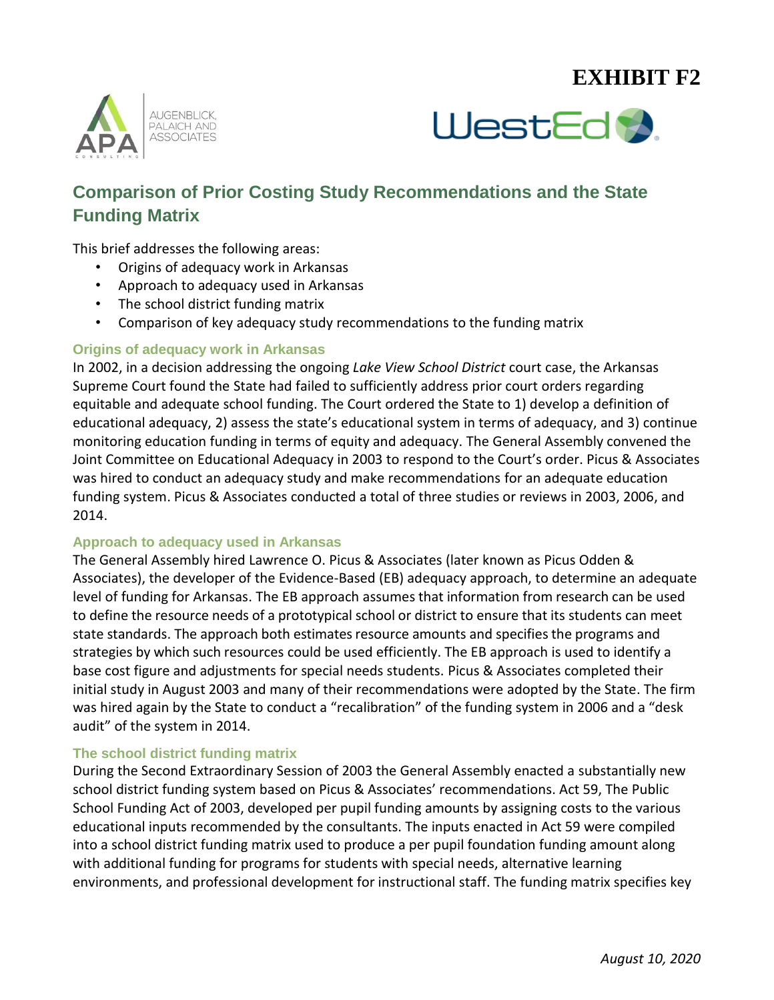# **EXHIBIT F2**





## **Comparison of Prior Costing Study Recommendations and the State Funding Matrix**

This brief addresses the following areas:

- Origins of adequacy work in Arkansas
- Approach to adequacy used in Arkansas
- The school district funding matrix
- Comparison of key adequacy study recommendations to the funding matrix

#### **Origins of adequacy work in Arkansas**

In 2002, in a decision addressing the ongoing *Lake View School District* court case, the Arkansas Supreme Court found the State had failed to sufficiently address prior court orders regarding equitable and adequate school funding. The Court ordered the State to 1) develop a definition of educational adequacy, 2) assess the state's educational system in terms of adequacy, and 3) continue monitoring education funding in terms of equity and adequacy. The General Assembly convened the Joint Committee on Educational Adequacy in 2003 to respond to the Court's order. Picus & Associates was hired to conduct an adequacy study and make recommendations for an adequate education funding system. Picus & Associates conducted a total of three studies or reviews in 2003, 2006, and 2014.

#### **Approach to adequacy used in Arkansas**

The General Assembly hired Lawrence O. Picus & Associates (later known as Picus Odden & Associates), the developer of the Evidence-Based (EB) adequacy approach, to determine an adequate level of funding for Arkansas. The EB approach assumes that information from research can be used to define the resource needs of a prototypical school or district to ensure that its students can meet state standards. The approach both estimates resource amounts and specifies the programs and strategies by which such resources could be used efficiently. The EB approach is used to identify a base cost figure and adjustments for special needs students. Picus & Associates completed their initial study in August 2003 and many of their recommendations were adopted by the State. The firm was hired again by the State to conduct a "recalibration" of the funding system in 2006 and a "desk audit" of the system in 2014.

#### **The school district funding matrix**

During the Second Extraordinary Session of 2003 the General Assembly enacted a substantially new school district funding system based on Picus & Associates' recommendations. Act 59, The Public School Funding Act of 2003, developed per pupil funding amounts by assigning costs to the various educational inputs recommended by the consultants. The inputs enacted in Act 59 were compiled into a school district funding matrix used to produce a per pupil foundation funding amount along with additional funding for programs for students with special needs, alternative learning environments, and professional development for instructional staff. The funding matrix specifies key